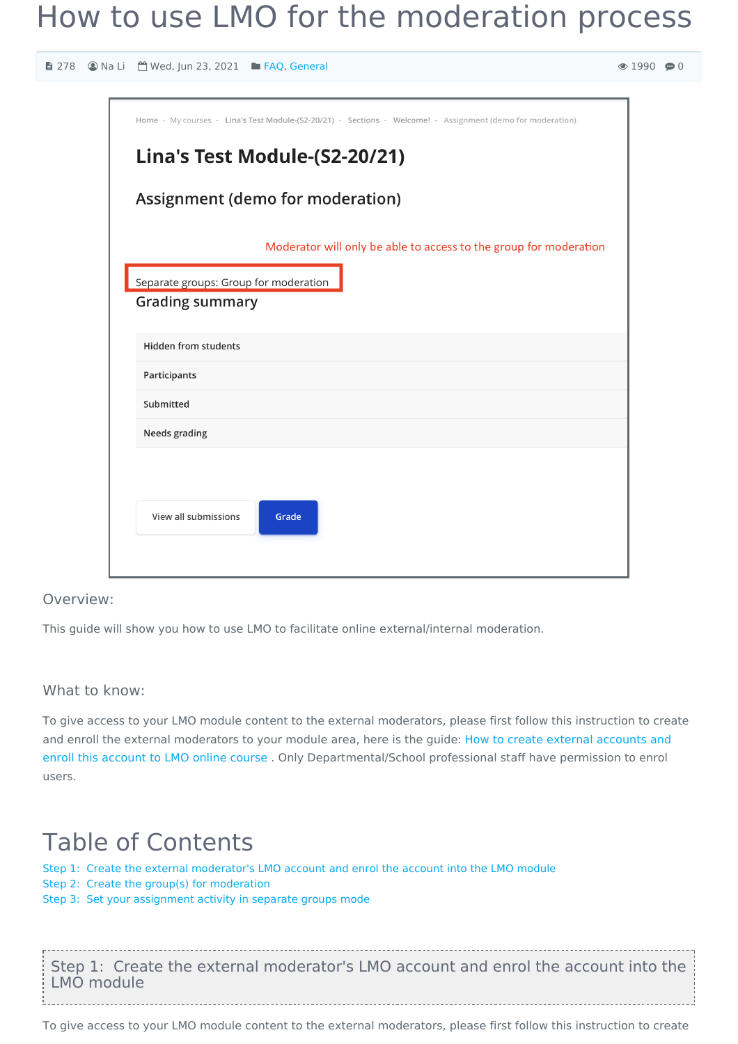# How to use LMO for the moderation process

 $0 \oplus 0$ 

| <b>■ 278</b> Ana Li ■ Wed, Jun 23, 2021 ■ FAQ, General                                                                                      | $\odot$ 199 |
|---------------------------------------------------------------------------------------------------------------------------------------------|-------------|
| Home - My courses - Lina's Test Module-(S2-20/21) - Sections - Welcome! - Assignment (demo for moderation)<br>Lina's Test Module-(S2-20/21) |             |
| Assignment (demo for moderation)                                                                                                            |             |
| Moderator will only be able to access to the group for moderation<br>Separate groups: Group for moderation<br><b>Grading summary</b>        |             |
| <b>Hidden from students</b><br>Participants<br>Submitted                                                                                    |             |
| Needs grading                                                                                                                               |             |
| View all submissions<br>Grade                                                                                                               |             |

#### Overview:

This guide will show you how to use LMO to facilitate online external/internal moderation.

#### What to know:

To give access to your LMO module content to the external moderators, please first follow this instruction to create and enroll the external moderators to your module area, here is the guide: How to create external accounts and enroll this account to LMO online course . Only [Departmental/School](https://knowledgebase.xjtlu.edu.cn/article/how-to-create-external-learning-mall-accounts-and-enroll-to-online-course-214.html) professional staff have permission to enrol users.

## Table of Contents

Step 1: Create the external [moderator's](#page-0-0) LMO account and enrol the account into the LMO module

Step 2: Create the group(s) for [moderation](#page-1-0)

Step 3: Set your [assignment](#page-1-1) activity in separate groups mode

<span id="page-0-0"></span>Step 1: Create the external moderator's LMO account and enrol the account into the LMO module

To give access to your LMO module content to the external moderators, please first follow this instruction to create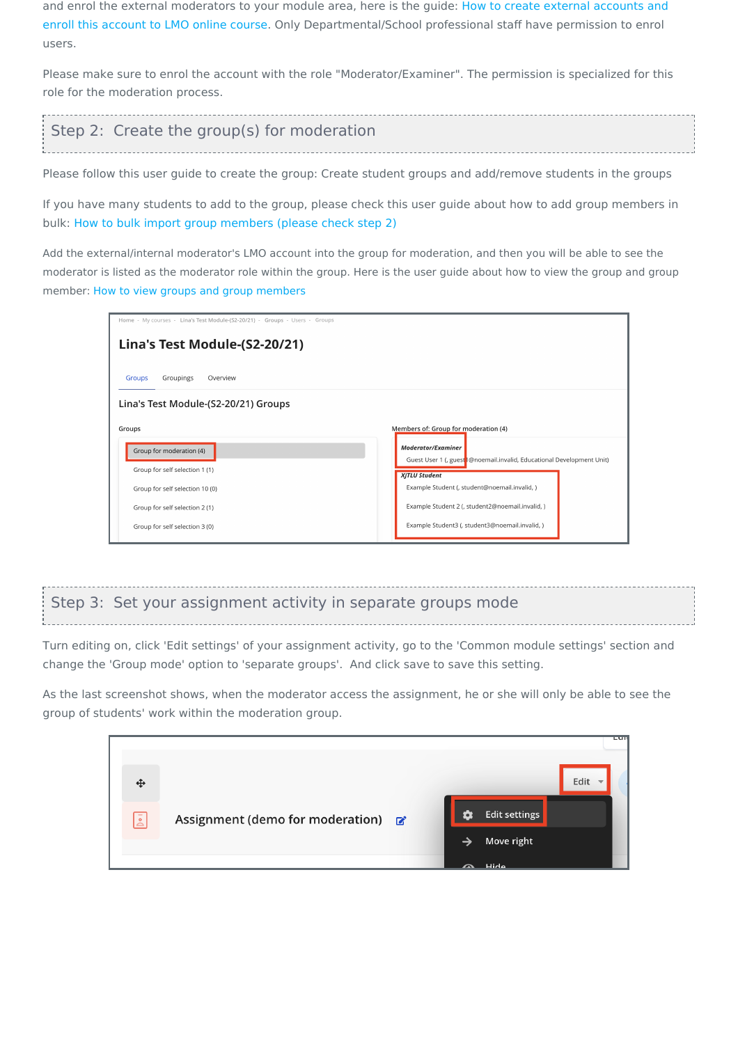and enrol the external moderators to your module area, here is the guide: How to create external accounts and enroll this account to LMO online course. Only [Departmental/School](https://knowledgebase.xjtlu.edu.cn/article/how-to-create-external-learning-mall-accounts-and-enroll-to-online-course-214.html) professional staff have permission to enrol users.

Please make sure to enrol the account with the role "Moderator/Examiner". The permission is specialized for this role for the moderation process.

<span id="page-1-0"></span>

| Step 2: Create the group(s) for moderation                                                                     |  |
|----------------------------------------------------------------------------------------------------------------|--|
| Please follow this user guide to create the group: Create student groups and add/remove students in the groups |  |

If you have many students to add to the group, please check this user guide about how to add group members in bulk: How to bulk import group [members](https://knowledgebase.xjtlu.edu.cn/article/how-to-add-new-users-39.html) (please check step 2)

Add the external/internal moderator's LMO account into the group for moderation, and then you will be able to see the moderator is listed as the moderator role within the group. Here is the user guide about how to view the group and group member: How to view groups and group [members](https://knowledgebase.xjtlu.edu.cn/article/how-to-view-groups-and-group-members-115.html)

| Home - My courses - Lina's Test Module-(S2-20/21) - Groups - Users - Groups |                                                                                               |  |  |  |  |
|-----------------------------------------------------------------------------|-----------------------------------------------------------------------------------------------|--|--|--|--|
| Lina's Test Module-(S2-20/21)                                               |                                                                                               |  |  |  |  |
| Groupings<br><b>Groups</b><br>Overview                                      |                                                                                               |  |  |  |  |
| Lina's Test Module-(S2-20/21) Groups                                        |                                                                                               |  |  |  |  |
| Groups                                                                      | Members of: Group for moderation (4)                                                          |  |  |  |  |
| Group for moderation (4)                                                    | <b>Moderator/Examiner</b>                                                                     |  |  |  |  |
| Group for self selection 1 (1)                                              | Guest User 1 (, guest @noemail.invalid, Educational Development Unit)<br><b>XJTLU Student</b> |  |  |  |  |
| Group for self selection 10 (0)                                             | Example Student (, student@noemail.invalid, )                                                 |  |  |  |  |
| Group for self selection 2 (1)                                              | Example Student 2 (, student2@noemail.invalid, )                                              |  |  |  |  |
| Group for self selection 3 (0)                                              | Example Student3 (, student3@noemail.invalid, )                                               |  |  |  |  |

### <span id="page-1-1"></span>Step 3: Set your assignment activity in separate groups mode

Turn editing on, click 'Edit settings' of your assignment activity, go to the 'Common module settings' section and change the 'Group mode' option to 'separate groups'. And click save to save this setting.

As the last screenshot shows, when the moderator access the assignment, he or she will only be able to see the group of students' work within the moderation group.